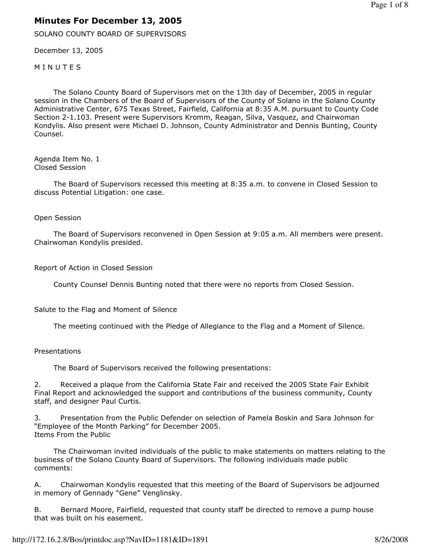# Minutes For December 13, 2005

SOLANO COUNTY BOARD OF SUPERVISORS

December 13, 2005

**MINUTES** 

 The Solano County Board of Supervisors met on the 13th day of December, 2005 in regular session in the Chambers of the Board of Supervisors of the County of Solano in the Solano County Administrative Center, 675 Texas Street, Fairfield, California at 8:35 A.M. pursuant to County Code Section 2-1.103. Present were Supervisors Kromm, Reagan, Silva, Vasquez, and Chairwoman Kondylis. Also present were Michael D. Johnson, County Administrator and Dennis Bunting, County Counsel.

Agenda Item No. 1 Closed Session

 The Board of Supervisors recessed this meeting at 8:35 a.m. to convene in Closed Session to discuss Potential Litigation: one case.

Open Session

 The Board of Supervisors reconvened in Open Session at 9:05 a.m. All members were present. Chairwoman Kondylis presided.

Report of Action in Closed Session

County Counsel Dennis Bunting noted that there were no reports from Closed Session.

Salute to the Flag and Moment of Silence

The meeting continued with the Pledge of Allegiance to the Flag and a Moment of Silence.

### Presentations

The Board of Supervisors received the following presentations:

2. Received a plaque from the California State Fair and received the 2005 State Fair Exhibit Final Report and acknowledged the support and contributions of the business community, County staff, and designer Paul Curtis.

3. Presentation from the Public Defender on selection of Pamela Boskin and Sara Johnson for "Employee of the Month Parking" for December 2005. Items From the Public

 The Chairwoman invited individuals of the public to make statements on matters relating to the business of the Solano County Board of Supervisors. The following individuals made public comments:

A. Chairwoman Kondylis requested that this meeting of the Board of Supervisors be adjourned in memory of Gennady "Gene" Venglinsky.

B. Bernard Moore, Fairfield, requested that county staff be directed to remove a pump house that was built on his easement.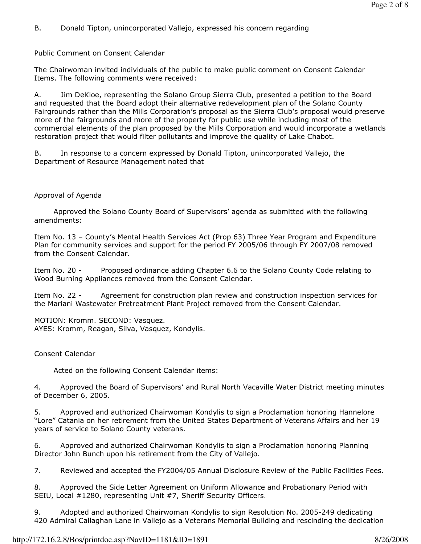B. Donald Tipton, unincorporated Vallejo, expressed his concern regarding

Public Comment on Consent Calendar

The Chairwoman invited individuals of the public to make public comment on Consent Calendar Items. The following comments were received:

A. Jim DeKloe, representing the Solano Group Sierra Club, presented a petition to the Board and requested that the Board adopt their alternative redevelopment plan of the Solano County Fairgrounds rather than the Mills Corporation's proposal as the Sierra Club's proposal would preserve more of the fairgrounds and more of the property for public use while including most of the commercial elements of the plan proposed by the Mills Corporation and would incorporate a wetlands restoration project that would filter pollutants and improve the quality of Lake Chabot.

B. In response to a concern expressed by Donald Tipton, unincorporated Vallejo, the Department of Resource Management noted that

## Approval of Agenda

 Approved the Solano County Board of Supervisors' agenda as submitted with the following amendments:

Item No. 13 – County's Mental Health Services Act (Prop 63) Three Year Program and Expenditure Plan for community services and support for the period FY 2005/06 through FY 2007/08 removed from the Consent Calendar.

Item No. 20 - Proposed ordinance adding Chapter 6.6 to the Solano County Code relating to Wood Burning Appliances removed from the Consent Calendar.

Item No. 22 - Agreement for construction plan review and construction inspection services for the Mariani Wastewater Pretreatment Plant Project removed from the Consent Calendar.

MOTION: Kromm. SECOND: Vasquez. AYES: Kromm, Reagan, Silva, Vasquez, Kondylis.

## Consent Calendar

Acted on the following Consent Calendar items:

4. Approved the Board of Supervisors' and Rural North Vacaville Water District meeting minutes of December 6, 2005.

5. Approved and authorized Chairwoman Kondylis to sign a Proclamation honoring Hannelore "Lore" Catania on her retirement from the United States Department of Veterans Affairs and her 19 years of service to Solano County veterans.

6. Approved and authorized Chairwoman Kondylis to sign a Proclamation honoring Planning Director John Bunch upon his retirement from the City of Vallejo.

7. Reviewed and accepted the FY2004/05 Annual Disclosure Review of the Public Facilities Fees.

8. Approved the Side Letter Agreement on Uniform Allowance and Probationary Period with SEIU, Local #1280, representing Unit #7, Sheriff Security Officers.

9. Adopted and authorized Chairwoman Kondylis to sign Resolution No. 2005-249 dedicating 420 Admiral Callaghan Lane in Vallejo as a Veterans Memorial Building and rescinding the dedication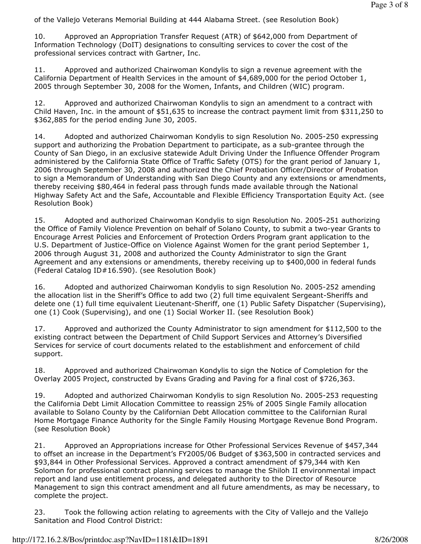of the Vallejo Veterans Memorial Building at 444 Alabama Street. (see Resolution Book)

10. Approved an Appropriation Transfer Request (ATR) of \$642,000 from Department of Information Technology (DoIT) designations to consulting services to cover the cost of the professional services contract with Gartner, Inc.

11. Approved and authorized Chairwoman Kondylis to sign a revenue agreement with the California Department of Health Services in the amount of \$4,689,000 for the period October 1, 2005 through September 30, 2008 for the Women, Infants, and Children (WIC) program.

12. Approved and authorized Chairwoman Kondylis to sign an amendment to a contract with Child Haven, Inc. in the amount of \$51,635 to increase the contract payment limit from \$311,250 to \$362,885 for the period ending June 30, 2005.

14. Adopted and authorized Chairwoman Kondylis to sign Resolution No. 2005-250 expressing support and authorizing the Probation Department to participate, as a sub-grantee through the County of San Diego, in an exclusive statewide Adult Driving Under the Influence Offender Program administered by the California State Office of Traffic Safety (OTS) for the grant period of January 1, 2006 through September 30, 2008 and authorized the Chief Probation Officer/Director of Probation to sign a Memorandum of Understanding with San Diego County and any extensions or amendments, thereby receiving \$80,464 in federal pass through funds made available through the National Highway Safety Act and the Safe, Accountable and Flexible Efficiency Transportation Equity Act. (see Resolution Book)

15. Adopted and authorized Chairwoman Kondylis to sign Resolution No. 2005-251 authorizing the Office of Family Violence Prevention on behalf of Solano County, to submit a two-year Grants to Encourage Arrest Policies and Enforcement of Protection Orders Program grant application to the U.S. Department of Justice-Office on Violence Against Women for the grant period September 1, 2006 through August 31, 2008 and authorized the County Administrator to sign the Grant Agreement and any extensions or amendments, thereby receiving up to \$400,000 in federal funds (Federal Catalog ID#16.590). (see Resolution Book)

16. Adopted and authorized Chairwoman Kondylis to sign Resolution No. 2005-252 amending the allocation list in the Sheriff's Office to add two (2) full time equivalent Sergeant-Sheriffs and delete one (1) full time equivalent Lieutenant-Sheriff, one (1) Public Safety Dispatcher (Supervising), one (1) Cook (Supervising), and one (1) Social Worker II. (see Resolution Book)

17. Approved and authorized the County Administrator to sign amendment for \$112,500 to the existing contract between the Department of Child Support Services and Attorney's Diversified Services for service of court documents related to the establishment and enforcement of child support.

18. Approved and authorized Chairwoman Kondylis to sign the Notice of Completion for the Overlay 2005 Project, constructed by Evans Grading and Paving for a final cost of \$726,363.

19. Adopted and authorized Chairwoman Kondylis to sign Resolution No. 2005-253 requesting the California Debt Limit Allocation Committee to reassign 25% of 2005 Single Family allocation available to Solano County by the Californian Debt Allocation committee to the Californian Rural Home Mortgage Finance Authority for the Single Family Housing Mortgage Revenue Bond Program. (see Resolution Book)

21. Approved an Appropriations increase for Other Professional Services Revenue of \$457,344 to offset an increase in the Department's FY2005/06 Budget of \$363,500 in contracted services and \$93,844 in Other Professional Services. Approved a contract amendment of \$79,344 with Ken Solomon for professional contract planning services to manage the Shiloh II environmental impact report and land use entitlement process, and delegated authority to the Director of Resource Management to sign this contract amendment and all future amendments, as may be necessary, to complete the project.

23. Took the following action relating to agreements with the City of Vallejo and the Vallejo Sanitation and Flood Control District: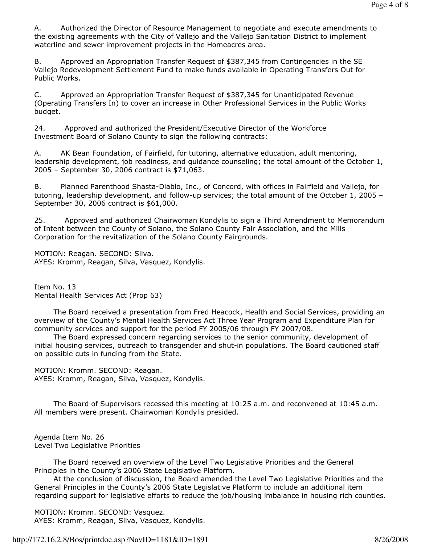A. Authorized the Director of Resource Management to negotiate and execute amendments to the existing agreements with the City of Vallejo and the Vallejo Sanitation District to implement waterline and sewer improvement projects in the Homeacres area.

B. Approved an Appropriation Transfer Request of \$387,345 from Contingencies in the SE Vallejo Redevelopment Settlement Fund to make funds available in Operating Transfers Out for Public Works.

C. Approved an Appropriation Transfer Request of \$387,345 for Unanticipated Revenue (Operating Transfers In) to cover an increase in Other Professional Services in the Public Works budget.

24. Approved and authorized the President/Executive Director of the Workforce Investment Board of Solano County to sign the following contracts:

A. AK Bean Foundation, of Fairfield, for tutoring, alternative education, adult mentoring, leadership development, job readiness, and guidance counseling; the total amount of the October 1, 2005 – September 30, 2006 contract is \$71,063.

B. Planned Parenthood Shasta-Diablo, Inc., of Concord, with offices in Fairfield and Vallejo, for tutoring, leadership development, and follow-up services; the total amount of the October 1, 2005 – September 30, 2006 contract is \$61,000.

25. Approved and authorized Chairwoman Kondylis to sign a Third Amendment to Memorandum of Intent between the County of Solano, the Solano County Fair Association, and the Mills Corporation for the revitalization of the Solano County Fairgrounds.

MOTION: Reagan. SECOND: Silva. AYES: Kromm, Reagan, Silva, Vasquez, Kondylis.

Item No. 13 Mental Health Services Act (Prop 63)

 The Board received a presentation from Fred Heacock, Health and Social Services, providing an overview of the County's Mental Health Services Act Three Year Program and Expenditure Plan for community services and support for the period FY 2005/06 through FY 2007/08.

 The Board expressed concern regarding services to the senior community, development of initial housing services, outreach to transgender and shut-in populations. The Board cautioned staff on possible cuts in funding from the State.

MOTION: Kromm. SECOND: Reagan. AYES: Kromm, Reagan, Silva, Vasquez, Kondylis.

 The Board of Supervisors recessed this meeting at 10:25 a.m. and reconvened at 10:45 a.m. All members were present. Chairwoman Kondylis presided.

Agenda Item No. 26 Level Two Legislative Priorities

 The Board received an overview of the Level Two Legislative Priorities and the General Principles in the County's 2006 State Legislative Platform.

 At the conclusion of discussion, the Board amended the Level Two Legislative Priorities and the General Principles in the County's 2006 State Legislative Platform to include an additional item regarding support for legislative efforts to reduce the job/housing imbalance in housing rich counties.

MOTION: Kromm. SECOND: Vasquez.

AYES: Kromm, Reagan, Silva, Vasquez, Kondylis.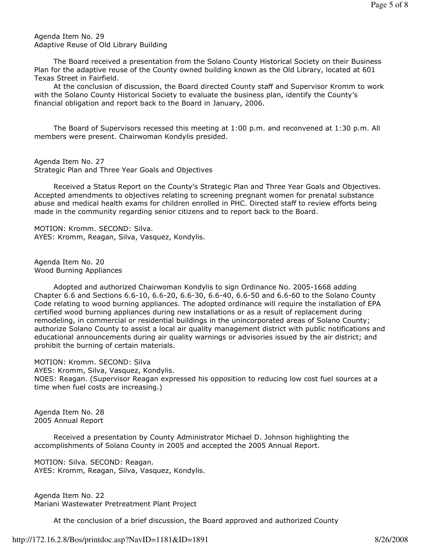Agenda Item No. 29 Adaptive Reuse of Old Library Building

 The Board received a presentation from the Solano County Historical Society on their Business Plan for the adaptive reuse of the County owned building known as the Old Library, located at 601 Texas Street in Fairfield.

 At the conclusion of discussion, the Board directed County staff and Supervisor Kromm to work with the Solano County Historical Society to evaluate the business plan, identify the County's financial obligation and report back to the Board in January, 2006.

 The Board of Supervisors recessed this meeting at 1:00 p.m. and reconvened at 1:30 p.m. All members were present. Chairwoman Kondylis presided.

Agenda Item No. 27 Strategic Plan and Three Year Goals and Objectives

 Received a Status Report on the County's Strategic Plan and Three Year Goals and Objectives. Accepted amendments to objectives relating to screening pregnant women for prenatal substance abuse and medical health exams for children enrolled in PHC. Directed staff to review efforts being made in the community regarding senior citizens and to report back to the Board.

MOTION: Kromm. SECOND: Silva. AYES: Kromm, Reagan, Silva, Vasquez, Kondylis.

Agenda Item No. 20 Wood Burning Appliances

 Adopted and authorized Chairwoman Kondylis to sign Ordinance No. 2005-1668 adding Chapter 6.6 and Sections 6.6-10, 6.6-20, 6.6-30, 6.6-40, 6.6-50 and 6.6-60 to the Solano County Code relating to wood burning appliances. The adopted ordinance will require the installation of EPA certified wood burning appliances during new installations or as a result of replacement during remodeling, in commercial or residential buildings in the unincorporated areas of Solano County; authorize Solano County to assist a local air quality management district with public notifications and educational announcements during air quality warnings or advisories issued by the air district; and prohibit the burning of certain materials.

MOTION: Kromm. SECOND: Silva AYES: Kromm, Silva, Vasquez, Kondylis. NOES: Reagan. (Supervisor Reagan expressed his opposition to reducing low cost fuel sources at a time when fuel costs are increasing.)

Agenda Item No. 28 2005 Annual Report

 Received a presentation by County Administrator Michael D. Johnson highlighting the accomplishments of Solano County in 2005 and accepted the 2005 Annual Report.

MOTION: Silva. SECOND: Reagan. AYES: Kromm, Reagan, Silva, Vasquez, Kondylis.

Agenda Item No. 22 Mariani Wastewater Pretreatment Plant Project

At the conclusion of a brief discussion, the Board approved and authorized County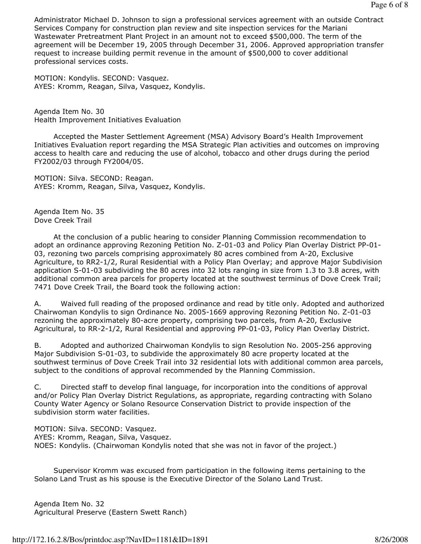Administrator Michael D. Johnson to sign a professional services agreement with an outside Contract Services Company for construction plan review and site inspection services for the Mariani Wastewater Pretreatment Plant Project in an amount not to exceed \$500,000. The term of the agreement will be December 19, 2005 through December 31, 2006. Approved appropriation transfer request to increase building permit revenue in the amount of \$500,000 to cover additional professional services costs.

MOTION: Kondylis. SECOND: Vasquez. AYES: Kromm, Reagan, Silva, Vasquez, Kondylis.

Agenda Item No. 30 Health Improvement Initiatives Evaluation

 Accepted the Master Settlement Agreement (MSA) Advisory Board's Health Improvement Initiatives Evaluation report regarding the MSA Strategic Plan activities and outcomes on improving access to health care and reducing the use of alcohol, tobacco and other drugs during the period FY2002/03 through FY2004/05.

MOTION: Silva. SECOND: Reagan. AYES: Kromm, Reagan, Silva, Vasquez, Kondylis.

Agenda Item No. 35 Dove Creek Trail

 At the conclusion of a public hearing to consider Planning Commission recommendation to adopt an ordinance approving Rezoning Petition No. Z-01-03 and Policy Plan Overlay District PP-01- 03, rezoning two parcels comprising approximately 80 acres combined from A-20, Exclusive Agriculture, to RR2-1/2, Rural Residential with a Policy Plan Overlay; and approve Major Subdivision application S-01-03 subdividing the 80 acres into 32 lots ranging in size from 1.3 to 3.8 acres, with additional common area parcels for property located at the southwest terminus of Dove Creek Trail; 7471 Dove Creek Trail, the Board took the following action:

A. Waived full reading of the proposed ordinance and read by title only. Adopted and authorized Chairwoman Kondylis to sign Ordinance No. 2005-1669 approving Rezoning Petition No. Z-01-03 rezoning the approximately 80-acre property, comprising two parcels, from A-20, Exclusive Agricultural, to RR-2-1/2, Rural Residential and approving PP-01-03, Policy Plan Overlay District.

B. Adopted and authorized Chairwoman Kondylis to sign Resolution No. 2005-256 approving Major Subdivision S-01-03, to subdivide the approximately 80 acre property located at the southwest terminus of Dove Creek Trail into 32 residential lots with additional common area parcels, subject to the conditions of approval recommended by the Planning Commission.

C. Directed staff to develop final language, for incorporation into the conditions of approval and/or Policy Plan Overlay District Regulations, as appropriate, regarding contracting with Solano County Water Agency or Solano Resource Conservation District to provide inspection of the subdivision storm water facilities.

MOTION: Silva. SECOND: Vasquez. AYES: Kromm, Reagan, Silva, Vasquez. NOES: Kondylis. (Chairwoman Kondylis noted that she was not in favor of the project.)

 Supervisor Kromm was excused from participation in the following items pertaining to the Solano Land Trust as his spouse is the Executive Director of the Solano Land Trust.

Agenda Item No. 32 Agricultural Preserve (Eastern Swett Ranch)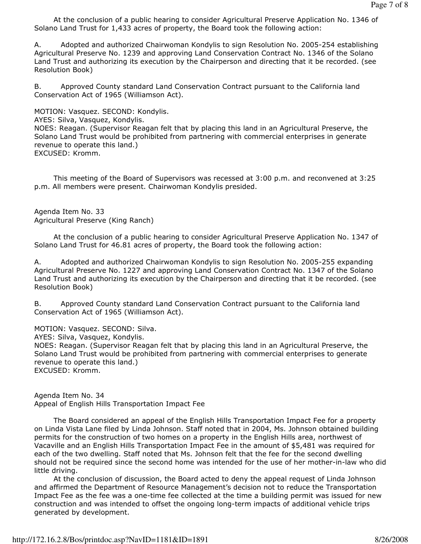At the conclusion of a public hearing to consider Agricultural Preserve Application No. 1346 of Solano Land Trust for 1,433 acres of property, the Board took the following action:

A. Adopted and authorized Chairwoman Kondylis to sign Resolution No. 2005-254 establishing Agricultural Preserve No. 1239 and approving Land Conservation Contract No. 1346 of the Solano Land Trust and authorizing its execution by the Chairperson and directing that it be recorded. (see Resolution Book)

B. Approved County standard Land Conservation Contract pursuant to the California land Conservation Act of 1965 (Williamson Act).

MOTION: Vasquez. SECOND: Kondylis.

AYES: Silva, Vasquez, Kondylis.

NOES: Reagan. (Supervisor Reagan felt that by placing this land in an Agricultural Preserve, the Solano Land Trust would be prohibited from partnering with commercial enterprises in generate revenue to operate this land.) EXCUSED: Kromm.

 This meeting of the Board of Supervisors was recessed at 3:00 p.m. and reconvened at 3:25 p.m. All members were present. Chairwoman Kondylis presided.

Agenda Item No. 33 Agricultural Preserve (King Ranch)

 At the conclusion of a public hearing to consider Agricultural Preserve Application No. 1347 of Solano Land Trust for 46.81 acres of property, the Board took the following action:

A. Adopted and authorized Chairwoman Kondylis to sign Resolution No. 2005-255 expanding Agricultural Preserve No. 1227 and approving Land Conservation Contract No. 1347 of the Solano Land Trust and authorizing its execution by the Chairperson and directing that it be recorded. (see Resolution Book)

B. Approved County standard Land Conservation Contract pursuant to the California land Conservation Act of 1965 (Williamson Act).

MOTION: Vasquez. SECOND: Silva.

AYES: Silva, Vasquez, Kondylis.

NOES: Reagan. (Supervisor Reagan felt that by placing this land in an Agricultural Preserve, the Solano Land Trust would be prohibited from partnering with commercial enterprises to generate revenue to operate this land.)

EXCUSED: Kromm.

Agenda Item No. 34 Appeal of English Hills Transportation Impact Fee

 The Board considered an appeal of the English Hills Transportation Impact Fee for a property on Linda Vista Lane filed by Linda Johnson. Staff noted that in 2004, Ms. Johnson obtained building permits for the construction of two homes on a property in the English Hills area, northwest of Vacaville and an English Hills Transportation Impact Fee in the amount of \$5,481 was required for each of the two dwelling. Staff noted that Ms. Johnson felt that the fee for the second dwelling should not be required since the second home was intended for the use of her mother-in-law who did little driving.

 At the conclusion of discussion, the Board acted to deny the appeal request of Linda Johnson and affirmed the Department of Resource Management's decision not to reduce the Transportation Impact Fee as the fee was a one-time fee collected at the time a building permit was issued for new construction and was intended to offset the ongoing long-term impacts of additional vehicle trips generated by development.